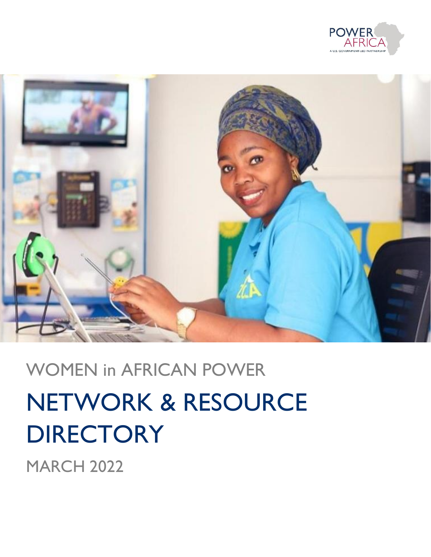



# WOMEN in AFRICAN POWER NETWORK & RESOURCE **DIRECTORY**

**MARCH 2022**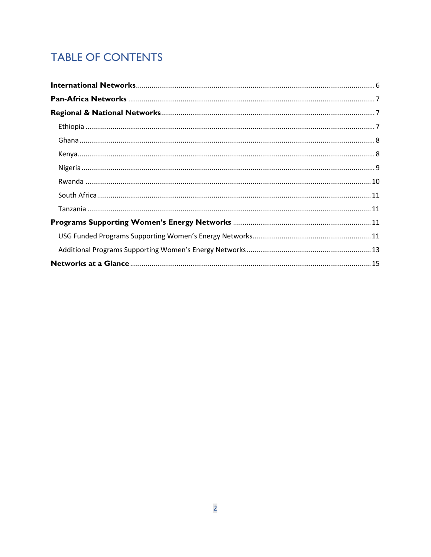# **TABLE OF CONTENTS**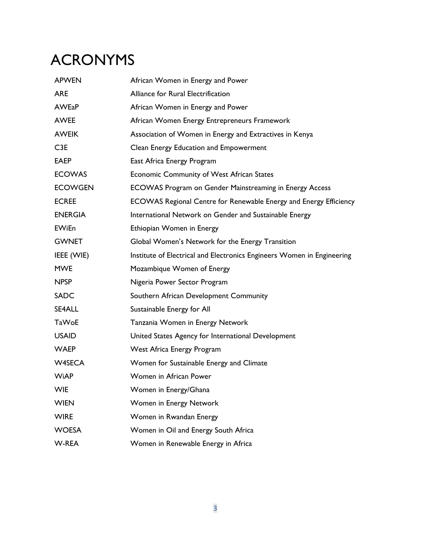# ACRONYMS

| <b>APWEN</b>     | African Women in Energy and Power                                      |
|------------------|------------------------------------------------------------------------|
| <b>ARE</b>       | Alliance for Rural Electrification                                     |
| <b>AWEaP</b>     | African Women in Energy and Power                                      |
| <b>AWEE</b>      | African Women Energy Entrepreneurs Framework                           |
| <b>AWEIK</b>     | Association of Women in Energy and Extractives in Kenya                |
| C <sub>3</sub> E | Clean Energy Education and Empowerment                                 |
| <b>EAEP</b>      | East Africa Energy Program                                             |
| <b>ECOWAS</b>    | Economic Community of West African States                              |
| <b>ECOWGEN</b>   | ECOWAS Program on Gender Mainstreaming in Energy Access                |
| <b>ECREE</b>     | ECOWAS Regional Centre for Renewable Energy and Energy Efficiency      |
| <b>ENERGIA</b>   | International Network on Gender and Sustainable Energy                 |
| <b>EWiEn</b>     | Ethiopian Women in Energy                                              |
| <b>GWNET</b>     | Global Women's Network for the Energy Transition                       |
| IEEE (WIE)       | Institute of Electrical and Electronics Engineers Women in Engineering |
| <b>MWE</b>       | Mozambique Women of Energy                                             |
| <b>NPSP</b>      | Nigeria Power Sector Program                                           |
| <b>SADC</b>      | Southern African Development Community                                 |
| SE4ALL           | Sustainable Energy for All                                             |
| <b>TaWoE</b>     | Tanzania Women in Energy Network                                       |
| <b>USAID</b>     | United States Agency for International Development                     |
| <b>WAEP</b>      | West Africa Energy Program                                             |
| <b>W4SECA</b>    | Women for Sustainable Energy and Climate                               |
| <b>WiAP</b>      | Women in African Power                                                 |
| <b>WIE</b>       | Women in Energy/Ghana                                                  |
| <b>WIEN</b>      | Women in Energy Network                                                |
| <b>WIRE</b>      | Women in Rwandan Energy                                                |
| <b>WOESA</b>     | Women in Oil and Energy South Africa                                   |
| W-REA            | Women in Renewable Energy in Africa                                    |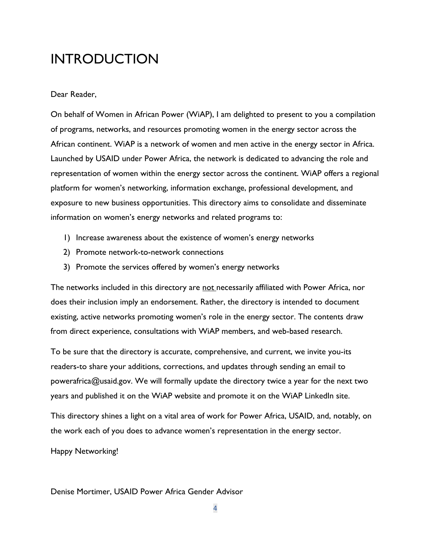# INTRODUCTION

# Dear Reader,

On behalf of Women in African Power (WiAP), I am delighted to present to you a compilation of programs, networks, and resources promoting women in the energy sector across the African continent. WiAP is a network of women and men active in the energy sector in Africa. Launched by USAID under Power Africa, the network is dedicated to advancing the role and representation of women within the energy sector across the continent. WiAP offers a regional platform for women's networking, information exchange, professional development, and exposure to new business opportunities. This directory aims to consolidate and disseminate information on women's energy networks and related programs to:

- 1) Increase awareness about the existence of women's energy networks
- 2) Promote network-to-network connections
- 3) Promote the services offered by women's energy networks

The networks included in this directory are not necessarily affiliated with Power Africa, nor does their inclusion imply an endorsement. Rather, the directory is intended to document existing, active networks promoting women's role in the energy sector. The contents draw from direct experience, consultations with WiAP members, and web-based research.

To be sure that the directory is accurate, comprehensive, and current, we invite you-its readers-to share your additions, corrections, and updates through sending an email to powerafrica@usaid.gov. We will formally update the directory twice a year for the next two years and published it on the WiAP website and promote it on the WiAP LinkedIn site.

This directory shines a light on a vital area of work for Power Africa, USAID, and, notably, on the work each of you does to advance women's representation in the energy sector.

Happy Networking!

Denise Mortimer, USAID Power Africa Gender Advisor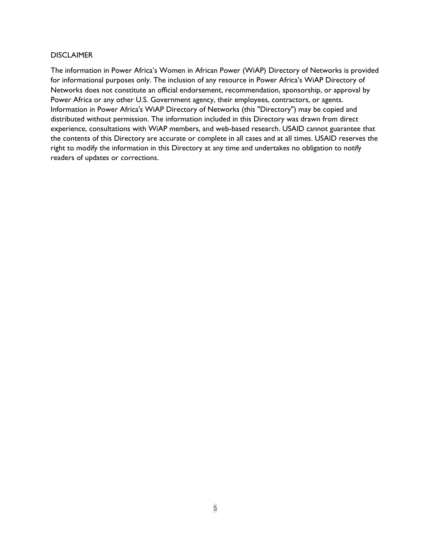# **DISCLAIMER**

The information in Power Africa's Women in African Power (WiAP) Directory of Networks is provided for informational purposes only. The inclusion of any resource in Power Africa's WiAP Directory of Networks does not constitute an official endorsement, recommendation, sponsorship, or approval by Power Africa or any other U.S. Government agency, their employees, contractors, or agents. Information in Power Africa's WiAP Directory of Networks (this "Directory") may be copied and distributed without permission. The information included in this Directory was drawn from direct experience, consultations with WiAP members, and web-based research. USAID cannot guarantee that the contents of this Directory are accurate or complete in all cases and at all times. USAID reserves the right to modify the information in this Directory at any time and undertakes no obligation to notify readers of updates or corrections.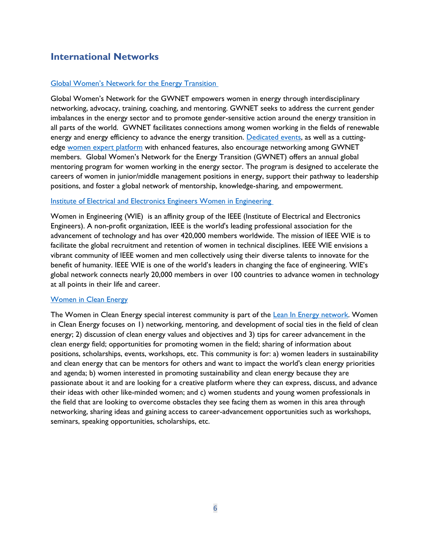# <span id="page-5-0"></span>**International Networks**

# [Global Women's Network for the Energy Transition](https://www.globalwomennet.org/)

Global Women's Network for the GWNET empowers women in energy through interdisciplinary networking, advocacy, training, coaching, and mentoring. GWNET seeks to address the current gender imbalances in the energy sector and to promote gender-sensitive action around the energy transition in all parts of the world. GWNET facilitates connections among women working in the fields of renewable energy and energy efficiency to advance the energy transition. [Dedicated events,](https://www.globalwomennet.org/events/) as well as a cuttingedge [women expert platform](https://www.globalwomennet.org/members/become-a-member/) with enhanced features, also encourage networking among GWNET members. Global Women's Network for the Energy Transition (GWNET) offers an annual global mentoring program for women working in the energy sector. The program is designed to accelerate the careers of women in junior/middle management positions in energy, support their pathway to leadership positions, and foster a global network of mentorship, knowledge-sharing, and empowerment.

# Institute of Electrical and Electronics Engineers Women in Engineering

Women in Engineering (WIE) is an affinity group of the IEEE (Institute of Electrical and Electronics Engineers). A non-profit organization, IEEE is the world's leading professional association for the advancement of technology and has over 420,000 members worldwide. The mission of IEEE WIE is to facilitate the global recruitment and retention of women in technical disciplines. IEEE WIE envisions a vibrant community of IEEE women and men collectively using their diverse talents to innovate for the benefit of humanity. IEEE WIE is one of the world's leaders in changing the face of engineering. WIE's global network connects nearly 20,000 members in over 100 countries to advance women in technology at all points in their life and career.

# [Women in Clean Energy](https://leaninenergy.chronus.com/p/p2/groups/245349/profile)

<span id="page-5-1"></span>The Women in Clean Energy special interest community is part of the [Lean In Energy network.](https://leaninenergy.org/) Women in Clean Energy focuses on 1) networking, mentoring, and development of social ties in the field of clean energy; 2) discussion of clean energy values and objectives and 3) tips for career advancement in the clean energy field; opportunities for promoting women in the field; sharing of information about positions, scholarships, events, workshops, etc. This community is for: a) women leaders in sustainability and clean energy that can be mentors for others and want to impact the world's clean energy priorities and agenda; b) women interested in promoting sustainability and clean energy because they are passionate about it and are looking for a creative platform where they can express, discuss, and advance their ideas with other like-minded women; and c) women students and young women professionals in the field that are looking to overcome obstacles they see facing them as women in this area through networking, sharing ideas and gaining access to career-advancement opportunities such as workshops, seminars, speaking opportunities, scholarships, etc.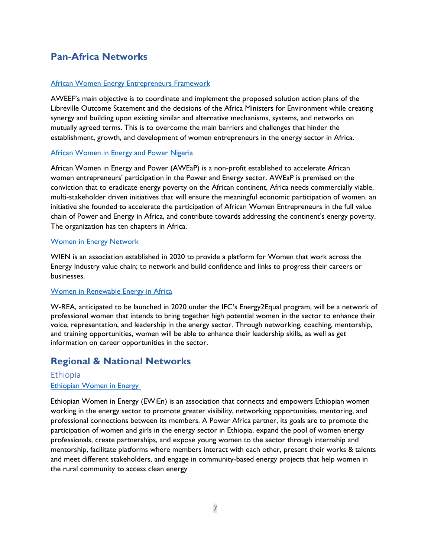# **Pan-Africa Networks**

# [African Women Energy Entrepreneurs Framework](http://aweef.theargeo.org/index.html)

AWEEF's main objective is to coordinate and implement the proposed solution action plans of the Libreville Outcome Statement and the decisions of the Africa Ministers for Environment while creating synergy and building upon existing similar and alternative mechanisms, systems, and networks on mutually agreed terms. This is to overcome the main barriers and challenges that hinder the establishment, growth, and development of women entrepreneurs in the energy sector in Africa.

# **[African Women in Energy and Power Nigeria](https://aweap.africa/)**

African Women in Energy and Power (AWEaP) is a non-profit established to accelerate African women entrepreneurs' participation in the Power and Energy sector. AWEaP is premised on the conviction that to eradicate energy poverty on the African continent, Africa needs commercially viable, multi-stakeholder driven initiatives that will ensure the meaningful economic participation of women. an initiative she founded to accelerate the participation of African Women Entrepreneurs in the full value chain of Power and Energy in Africa, and contribute towards addressing the continent's energy poverty. The organization has ten chapters in Africa.

# [Women in Energy Network](https://www.wienergynetwork.com/)

WIEN is an association established in 2020 to provide a platform for Women that work across the Energy Industry value chain; to network and build confidence and links to progress their careers or businesses.

# [Women in Renewable Energy in Africa](https://www.ifc.org/wps/wcm/connect/news_ext_content/ifc_external_corporate_site/news+and+events/news/energy2equal-africa)

W-REA, anticipated to be launched in 2020 under the IFC's Energy2Equal program, will be a network of professional women that intends to bring together high potential women in the sector to enhance their voice, representation, and leadership in the energy sector. Through networking, coaching, mentorship, and training opportunities, women will be able to enhance their leadership skills, as well as get information on career opportunities in the sector.

# <span id="page-6-0"></span>**Regional & National Networks**

# <span id="page-6-1"></span>Ethiopia [Ethiopian Women in Energy](http://ewien.org/)

Ethiopian Women in Energy (EWiEn) is an association that connects and empowers Ethiopian women working in the energy sector to promote greater visibility, networking opportunities, mentoring, and professional connections between its members. A Power Africa partner, its goals are to promote the participation of women and girls in the energy sector in Ethiopia, expand the pool of women energy professionals, create partnerships, and expose young women to the sector through internship and mentorship, facilitate platforms where members interact with each other, present their works & talents and meet different stakeholders, and engage in community-based energy projects that help women in the rural community to access clean energy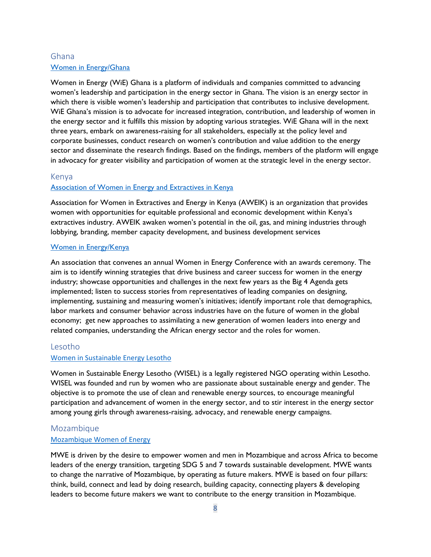# <span id="page-7-0"></span>Ghana [Women in Energy/Ghana](https://www.graphicbusinessonline.com/oil-gas/women-in-energy-wie-ghana-launches-on-feb-12#:~:text=Women%20in%20Energy%20(WiE)%20Ghana%20is%20a%20platform%20of%20i,that%20contributes%20to%20inclusive%20development.)

Women in Energy (WiE) Ghana is a platform of individuals and companies committed to advancing women's leadership and participation in the energy sector in Ghana. The vision is an energy sector in which there is visible women's leadership and participation that contributes to inclusive development. WiE Ghana's mission is to advocate for increased integration, contribution, and leadership of women in the energy sector and it fulfills this mission by adopting various strategies. WiE Ghana will in the next three years, embark on awareness-raising for all stakeholders, especially at the policy level and corporate businesses, conduct research on women's contribution and value addition to the energy sector and disseminate the research findings. Based on the findings, members of the platform will engage in advocacy for greater visibility and participation of women at the strategic level in the energy sector.

# <span id="page-7-1"></span>Kenya

# [Association of Women in Energy and Extractives in Kenya](https://aweik.or.ke/about/)

Association for Women in Extractives and Energy in Kenya (AWEIK) is an organization that provides women with opportunities for equitable professional and economic development within Kenya's extractives industry. AWEIK awaken women's potential in the oil, gas, and mining industries through lobbying, branding, member capacity development, and business development services

# [Women in Energy/Kenya](https://womeninenergy.net/)

An association that convenes an annual Women in Energy Conference with an awards ceremony. The aim is to identify winning strategies that drive business and career success for women in the energy industry; showcase opportunities and challenges in the next few years as the Big 4 Agenda gets implemented; listen to success stories from representatives of leading companies on designing, implementing, sustaining and measuring women's initiatives; identify important role that demographics, labor markets and consumer behavior across industries have on the future of women in the global economy; get new approaches to assimilating a new generation of women leaders into energy and related companies, understanding the African energy sector and the roles for women.

# Lesotho

# [Women in Sustainable Energy Lesotho](https://www.facebook.com/groups/2515900095347044/)

Women in Sustainable Energy Lesotho (WISEL) is a legally registered NGO operating within Lesotho. WISEL was founded and run by women who are passionate about sustainable energy and gender. The objective is to promote the use of clean and renewable energy sources, to encourage meaningful participation and advancement of women in the energy sector, and to stir interest in the energy sector among young girls through awareness-raising, advocacy, and renewable energy campaigns.

# Mozambique

# [Mozambique Women of Energy](https://www.mozambiquewomenofenergy.com/)

MWE is driven by the desire to empower women and men in Mozambique and across Africa to become leaders of the energy transition, targeting SDG 5 and 7 towards sustainable development. MWE wants to change the narrative of Mozambique, by operating as future makers. MWE is based on four pillars: think, build, connect and lead by doing research, building capacity, connecting players & developing leaders to become future makers we want to contribute to the energy transition in Mozambique.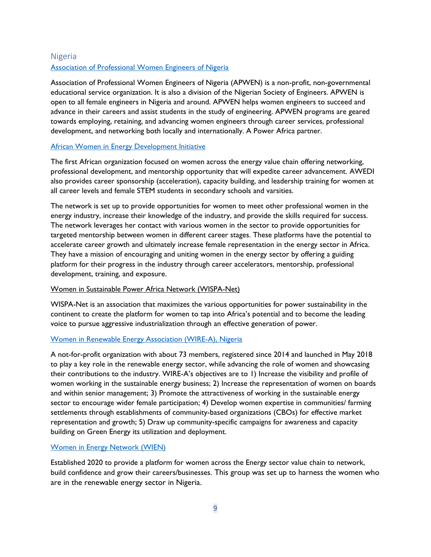# <span id="page-8-0"></span>Nigeria [Association of Professional Women Engineers of Nigeria](https://www.apwen.org/)

Association of Professional Women Engineers of Nigeria (APWEN) is a non-profit, non-governmental educational service organization. It is also a division of the Nigerian Society of Engineers. APWEN is open to all female engineers in Nigeria and around. APWEN helps women engineers to succeed and advance in their careers and assist students in the study of engineering. APWEN programs are geared towards employing, retaining, and advancing women engineers through career services, professional development, and networking both locally and internationally. A Power Africa partner.

# [African Women in Energy Development Initiative](https://awedinetwork.com/)

The first African organization focused on women across the energy value chain offering networking, professional development, and mentorship opportunity that will expedite career advancement. AWEDI also provides career sponsorship (acceleration), capacity building, and leadership training for women at all career levels and female STEM students in secondary schools and varsities.

The network is set up to provide opportunities for women to meet other professional women in the energy industry, increase their knowledge of the industry, and provide the skills required for success. The network leverages her contact with various women in the sector to provide opportunities for targeted mentorship between women in different career stages. These platforms have the potential to accelerate career growth and ultimately increase female representation in the energy sector in Africa. They have a mission of encouraging and uniting women in the energy sector by offering a guiding platform for their progress in the industry through career accelerators, mentorship, professional development, training, and exposure.

# Women in Sustainable Power Africa Network (WISPA-Net)

WISPA-Net is an association that maximizes the various opportunities for power sustainability in the continent to create the platform for women to tap into Africa's potential and to become the leading voice to pursue aggressive industrialization through an effective generation of power.

# Women in [Renewable Energy Association \(WIRE-A\), Nigeria](https://twitter.com/Wirea4green)

A not-for-profit organization with about 73 members, registered since 2014 and launched in May 2018 to play a key role in the renewable energy sector, while advancing the role of women and showcasing their contributions to the industry. WIRE-A's objectives are to 1) Increase the visibility and profile of women working in the sustainable energy business; 2) Increase the representation of women on boards and within senior management; 3) Promote the attractiveness of working in the sustainable energy sector to encourage wider female participation; 4) Develop women expertise in communities/ farming settlements through establishments of community-based organizations (CBOs) for effective market representation and growth; 5) Draw up community-specific campaigns for awareness and capacity building on Green Energy its utilization and deployment.

# [Women in Energy Network \(WIEN\)](https://www.facebook.com/WomenInRE/)

Established 2020 to provide a platform for women across the Energy sector value chain to network, build confidence and grow their careers/businesses. This group was set up to harness the women who are in the renewable energy sector in Nigeria.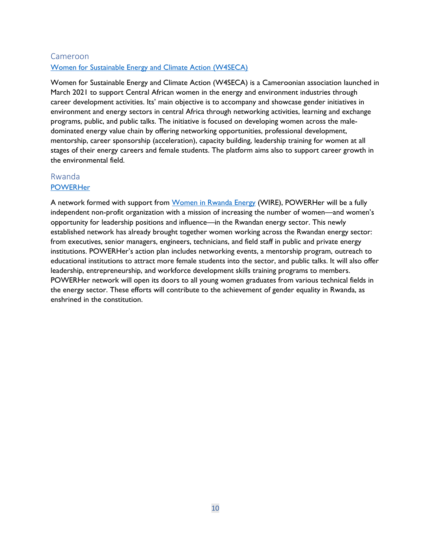# Cameroon Women for Sustainable Energy and Climate Action (W4SECA)

Women for Sustainable Energy and Climate Action (W4SECA) is a Cameroonian association launched in March 2021 to support Central African women in the energy and environment industries through career development activities. Its' main objective is to accompany and showcase gender initiatives in environment and energy sectors in central Africa through networking activities, learning and exchange programs, public, and public talks. The initiative is focused on developing women across the maledominated energy value chain by offering networking opportunities, professional development, mentorship, career sponsorship (acceleration), capacity building, leadership training for women at all stages of their energy careers and female students. The platform aims also to support career growth in the environmental field.

# <span id="page-9-0"></span>Rwanda

# **[POWERHer](https://www.epdrwanda.com/usaid-supports-rwandas-first-professional-network-for-women-in-energy/)**

<span id="page-9-1"></span>A network formed with support from [Women in Rwanda Energy](https://www.facebook.com/WIREwomenRW/) (WIRE), POWERHer will be a fully independent non-profit organization with a mission of increasing the number of women—and women's opportunity for leadership positions and influence—in the Rwandan energy sector. This newly established network has already brought together women working across the Rwandan energy sector: from executives, senior managers, engineers, technicians, and field staff in public and private energy institutions. POWERHer's action plan includes networking events, a mentorship program, outreach to educational institutions to attract more female students into the sector, and public talks. It will also offer leadership, entrepreneurship, and workforce development skills training programs to members. POWERHer network will open its doors to all young women graduates from various technical fields in the energy sector. These efforts will contribute to the achievement of gender equality in Rwanda, as enshrined in the constitution.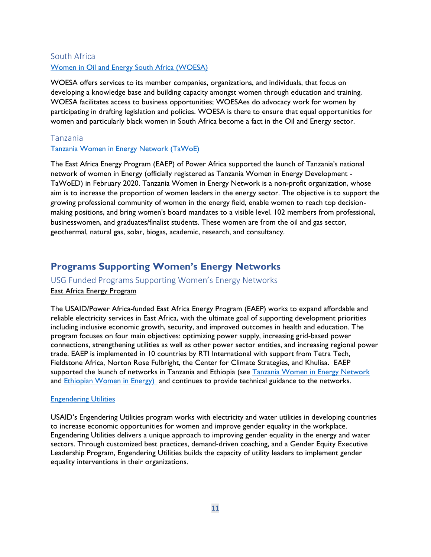# South Africa [Women in Oil and Energy South Africa \(WOESA\)](http://www.woesa.com/)

WOESA offers services to its member companies, organizations, and individuals, that focus on developing a knowledge base and building capacity amongst women through education and training. WOESA facilitates access to business opportunities; WOESAes do advocacy work for women by participating in drafting legislation and policies. WOESA is there to ensure that equal opportunities for women and particularly black women in South Africa become a fact in the Oil and Energy sector.

# <span id="page-10-0"></span>Tanzania

# [Tanzania Women in Energy Network \(TaWoE\)](https://www.womeninenergytz.org/about)

The East Africa Energy Program (EAEP) of Power Africa supported the launch of Tanzania's national network of women in Energy (officially registered as Tanzania Women in Energy Development - TaWoED) in February 2020. Tanzania Women in Energy Network is a non-profit organization, whose aim is to increase the proportion of women leaders in the energy sector. The objective is to support the growing professional community of women in the energy field, enable women to reach top decisionmaking positions, and bring women's board mandates to a visible level. 102 members from professional, businesswomen, and graduates/finalist students. These women are from the oil and gas sector, geothermal, natural gas, solar, biogas, academic, research, and consultancy.

# <span id="page-10-1"></span>**Programs Supporting Women's Energy Networks**

# <span id="page-10-2"></span>USG Funded Programs Supporting Women's Energy Networks

# East Africa Energy Program

The USAID/Power Africa-funded East Africa Energy Program (EAEP) works to expand affordable and reliable electricity services in East Africa, with the ultimate goal of supporting development priorities including inclusive economic growth, security, and improved outcomes in health and education. The program focuses on four main objectives: optimizing power supply, increasing grid-based power connections, strengthening utilities as well as other power sector entities, and increasing regional power trade. EAEP is implemented in 10 countries by RTI International with support from Tetra Tech, Fieldstone Africa, Norton Rose Fulbright, the Center for Climate Strategies, and Khulisa. EAEP supported the launch of networks in Tanzania and Ethiopia (see Tanzania Women in Energy Network and [Ethiopian Women in Energy\)](http://ewien.org/) and continues to provide technical guidance to the networks.

# **[Engendering Utilities](https://www.usaid.gov/energy/engendering-utilities)**

USAID's Engendering Utilities program works with electricity and water utilities in developing countries to increase economic opportunities for women and improve gender equality in the workplace. Engendering Utilities delivers a unique approach to improving gender equality in the energy and water sectors. Through customized best practices, demand-driven coaching, and a Gender Equity Executive Leadership Program, Engendering Utilities builds the capacity of utility leaders to implement gender equality interventions in their organizations.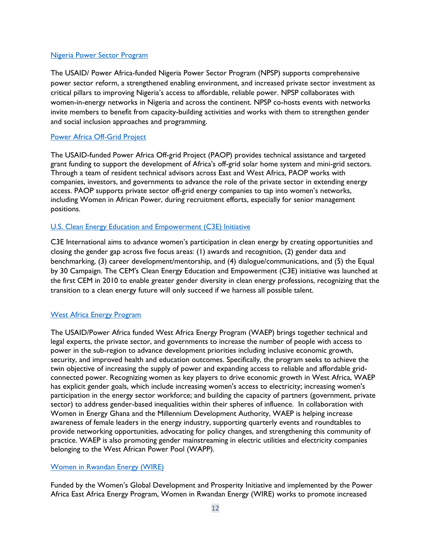### [Nigeria Power Sector Program](https://www.usaid.gov/powerafrica/nigeria)

The USAID/ Power Africa-funded Nigeria Power Sector Program (NPSP) supports comprehensive power sector reform, a strengthened enabling environment, and increased private sector investment as critical pillars to improving Nigeria's access to affordable, reliable power. NPSP collaborates with women-in-energy networks in Nigeria and across the continent. NPSP co-hosts events with networks invite members to benefit from capacity-building activities and works with them to strengthen gender and social inclusion approaches and programming.

# [Power Africa Off-Grid Project](https://nam04.safelinks.protection.outlook.com/?url=https%3A%2F%2Fwww.usaid.gov%2Fsites%2Fdefault%2Ffiles%2FPAOP_Fact_Sheet.pdf&data=04%7C01%7Ckstefiszyn%40PowerAfrica-OffGrid.org%7Cf2adb8e17ecd4577172c08d89add2a79%7C2ffc2ede4d4449948082487341fa43fb%7C0%7C1%7C637429623129797998%7CUnknown%7CTWFpbGZsb3d8eyJWIjoiMC4wLjAwMDAiLCJQIjoiV2luMzIiLCJBTiI6Ik1haWwiLCJXVCI6Mn0%3D%7C1000&sdata=toxzweiu035NTxySQIiEhboXR9iG46S7%2FvySNVnyOuM%3D&reserved=0)

The USAID-funded Power Africa Off-grid Project (PAOP) provides technical assistance and targeted grant funding to support the development of Africa's off-grid solar home system and mini-grid sectors. Through a team of resident technical advisors across East and West Africa, PAOP works with companies, investors, and governments to advance the role of the private sector in extending energy access. PAOP supports private sector off-grid energy companies to tap into women's networks, including Women in African Power, during recruitment efforts, especially for senior management positions.

# [U.S. Clean Energy Education and Empowerment \(C3E\) Initiative](http://www.cleanenergyministerial.org/initiative-clean-energy-ministerial/clean-energy-education-and-empowerment-c3e)

C3E International aims to advance women's participation in clean energy by creating opportunities and closing the gender gap across five focus areas: (1) awards and recognition, (2) gender data and benchmarking, (3) career development/mentorship, and (4) dialogue/communications, and (5) the Equal by 30 Campaign. The CEM's Clean Energy Education and Empowerment (C3E) initiative was launched at the first CEM in 2010 to enable greater gender diversity in clean energy professions, recognizing that the transition to a clean energy future will only succeed if we harness all possible talent.

# [West Africa Energy Program](https://www.usaid.gov/west-africa-regional/clean-and-efficient-energy)

The USAID/Power Africa funded West Africa Energy Program (WAEP) brings together technical and legal experts, the private sector, and governments to increase the number of people with access to power in the sub-region to advance development priorities including inclusive economic growth, security, and improved health and education outcomes. Specifically, the program seeks to achieve the twin objective of increasing the supply of power and expanding access to reliable and affordable gridconnected power. Recognizing women as key players to drive economic growth in West Africa, WAEP has explicit gender goals, which include increasing women's access to electricity; increasing women's participation in the energy sector workforce; and building the capacity of partners (government, private sector) to address gender-based inequalities within their spheres of influence. In collaboration with Women in Energy Ghana and the Millennium Development Authority, WAEP is helping increase awareness of female leaders in the energy industry, supporting quarterly events and roundtables to provide networking opportunities, advocating for policy changes, and strengthening this community of practice. WAEP is also promoting gender mainstreaming in electric utilities and electricity companies belonging to the West African Power Pool (WAPP).

# [Women in Rwandan Energy \(WIRE\)](mailto:@WIREwomenRW)

Funded by the Women's Global Development and Prosperity Initiative and implemented by the Power Africa East Africa Energy Program, Women in Rwandan Energy (WIRE) works to promote increased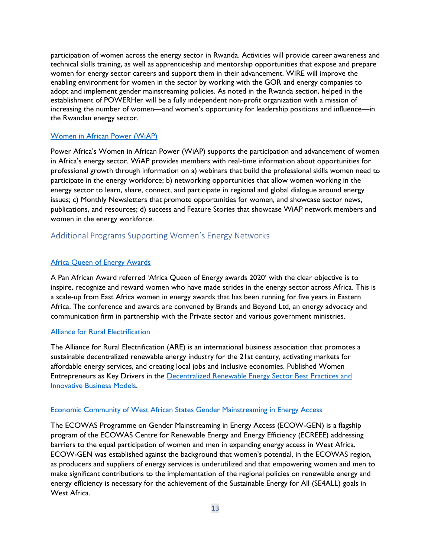participation of women across the energy sector in Rwanda. Activities will provide career awareness and technical skills training, as well as apprenticeship and mentorship opportunities that expose and prepare women for energy sector careers and support them in their advancement. WIRE will improve the enabling environment for women in the sector by working with the GOR and energy companies to adopt and implement gender mainstreaming policies. As noted in the Rwanda section, helped in the establishment of POWERHer will be a fully independent non-profit organization with a mission of increasing the number of women—and women's opportunity for leadership positions and influence—in the Rwandan energy sector.

#### [Women in African Power \(WiAP\)](https://www.usaid.gov/powerafrica/women-african-power-network)

Power Africa's Women in African Power (WiAP) supports the participation and advancement of women in Africa's energy sector. WiAP provides members with real-time information about opportunities for professional growth through information on a) webinars that build the professional skills women need to participate in the energy workforce; b) networking opportunities that allow women working in the energy sector to learn, share, connect, and participate in regional and global dialogue around energy issues; c) Monthly Newsletters that promote opportunities for women, and showcase sector news, publications, and resources; d) success and Feature Stories that showcase WiAP network members and women in the energy workforce.

# <span id="page-12-0"></span>Additional Programs Supporting Women's Energy Networks

### [Africa Queen of Energy Awards](https://africaqueenofenergyawards.org/)

A Pan African Award referred 'Africa Queen of Energy awards 2020' with the clear objective is to inspire, recognize and reward women who have made strides in the energy sector across Africa. This is a scale-up from East Africa women in energy awards that has been running for five years in Eastern Africa. The conference and awards are convened by Brands and Beyond Ltd, an energy advocacy and communication firm in partnership with the Private sector and various government ministries.

#### [Alliance for Rural Electrification](https://www.ruralelec.org/event-calendar)

The Alliance for Rural Electrification (ARE) is an international business association that promotes a sustainable decentralized renewable energy industry for the 21st century, activating markets for affordable energy services, and creating local jobs and inclusive economies. Published Women Entrepreneurs as Key Drivers in the Decentralized [Renewable Energy Sector Best Practices and](https://www.ruralelec.org/sites/default/files/Gender%20%26%20Energy%20Publication.pdf)  [Innovative Business Models.](https://www.ruralelec.org/sites/default/files/Gender%20%26%20Energy%20Publication.pdf) 

### [Economic Community of West African States Gender Mainstreaming in Energy Access](http://www.ecreee.org/page/ecowas-program-gender-mainstreaming-energy-access-ecowgen)

The ECOWAS Programme on Gender Mainstreaming in Energy Access (ECOW-GEN) is a flagship program of the ECOWAS Centre for Renewable Energy and Energy Efficiency (ECREEE) addressing barriers to the equal participation of women and men in expanding energy access in West Africa. ECOW-GEN was established against the background that women's potential, in the ECOWAS region, as producers and suppliers of energy services is underutilized and that empowering women and men to make significant contributions to the implementation of the regional policies on renewable energy and energy efficiency is necessary for the achievement of the Sustainable Energy for All (SE4ALL) goals in West Africa.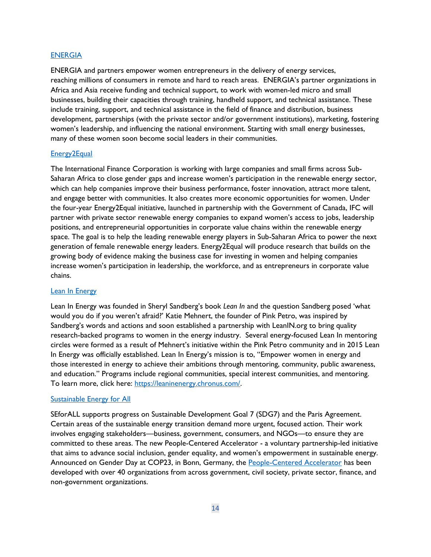### <u>[ENERGIA](https://www.energia.org/what-we-do/womens-economic-empowerment/)</u> established and the second control of the second control of the second control of the second control of the second control of the second control of the second control of the second control of the second control o

ENERGIA and partners empower women entrepreneurs in the delivery of energy services, reaching millions of consumers in remote and hard to reach areas. ENERGIA's partner organizations in Africa and Asia receive funding and technical support, to work with women-led micro and small businesses, building their capacities through training, handheld support, and technical assistance. These include training, support, and technical assistance in the field of finance and distribution, business development, partnerships (with the private sector and/or government institutions), marketing, fostering women's leadership, and influencing the national environment. Starting with small energy businesses, many of these women soon become social leaders in their communities.

#### [Energy2Equal](https://www.ifc.org/wps/wcm/connect/news_ext_content/ifc_external_corporate_site/news+and+events/news/energy2equal-africa)

The International Finance Corporation is working with large companies and small firms across Sub-Saharan Africa to close gender gaps and increase women's participation in the renewable energy sector, which can help companies improve their business performance, foster innovation, attract more talent, and engage better with communities. It also creates more economic opportunities for women. Under the four-year Energy2Equal initiative, launched in partnership with the Government of Canada, IFC will partner with private sector renewable energy companies to expand women's access to jobs, leadership positions, and entrepreneurial opportunities in corporate value chains within the renewable energy space. The goal is to help the leading renewable energy players in Sub-Saharan Africa to power the next generation of female renewable energy leaders. Energy2Equal will produce research that builds on the growing body of evidence making the business case for investing in women and helping companies increase women's participation in leadership, the workforce, and as entrepreneurs in corporate value chains.

#### [Lean In Energy](https://leaninenergy.org/)

Lean In Energy was founded in Sheryl Sandberg's book *Lean In* and the question Sandberg posed 'what would you do if you weren't afraid?' Katie Mehnert, the founder of Pink Petro, was inspired by Sandberg's words and actions and soon established a partnership with LeanIN.org to bring quality research-backed programs to women in the energy industry. Several energy-focused Lean In mentoring circles were formed as a result of Mehnert's initiative within the Pink Petro community and in 2015 Lean In Energy was officially established. Lean In Energy's mission is to, "Empower women in energy and those interested in energy to achieve their ambitions through mentoring, community, public awareness, and education." Programs include regional communities, special interest communities, and mentoring. To learn more, click here: [https://leaninenergy.chronus.com/.](https://leaninenergy.chronus.com/) 

#### [Sustainable Energy for All](https://www.seforall.org/people-centered-accelerator)

SEforALL supports progress on Sustainable Development Goal 7 (SDG7) and the Paris Agreement. Certain areas of the sustainable energy transition demand more urgent, focused action. Their work involves engaging stakeholders—business, government, consumers, and NGOs—to ensure they are committed to these areas. The new People-Centered Accelerator - a voluntary partnership-led initiative that aims to advance social inclusion, gender equality, and women's empowerment in sustainable energy. Announced on Gender Day at COP23, in Bonn, Germany, the [People-Centered Accelerator](http://www.seforall.org/accelerators/people-centered) has been developed with over 40 organizations from across government, civil society, private sector, finance, and non-government organizations.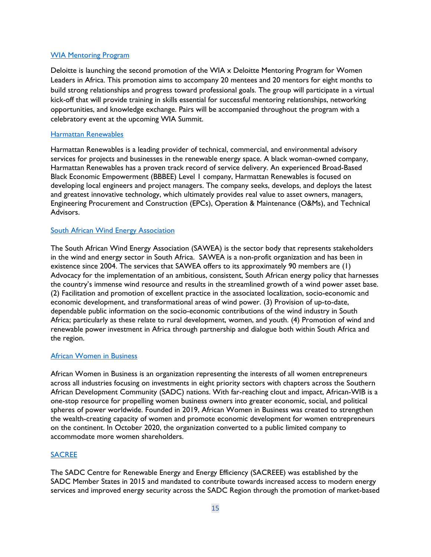# [WIA Mentoring Program](https://wia-initiative.com/wia-mentoring-program-by-deloitte-2nd-edition/)

Deloitte is launching the second promotion of the WIA x Deloitte Mentoring Program for Women Leaders in Africa. This promotion aims to accompany 20 mentees and 20 mentors for eight months to build strong relationships and progress toward professional goals. The group will participate in a virtual kick-off that will provide training in skills essential for successful mentoring relationships, networking opportunities, and knowledge exchange. Pairs will be accompanied throughout the program with a celebratory event at the upcoming WIA Summit.

#### [Harmattan Renewables](https://harmattanrenewables.com/)

<span id="page-14-0"></span>Harmattan Renewables is a leading provider of technical, commercial, and environmental advisory services for projects and businesses in the renewable energy space. A black woman-owned company, Harmattan Renewables has a proven track record of service delivery. An experienced Broad-Based Black Economic Empowerment (BBBEE) Level 1 company, Harmattan Renewables is focused on developing local engineers and project managers. The company seeks, develops, and deploys the latest and greatest innovative technology, which ultimately provides real value to asset owners, managers, Engineering Procurement and Construction (EPCs), Operation & Maintenance (O&Ms), and Technical Advisors.

#### **[South African Wind Energy Association](https://www.linkedin.com/company/sawea/)**

The South African Wind Energy Association (SAWEA) is the sector body that represents stakeholders in the wind and energy sector in South Africa. SAWEA is a non-profit organization and has been in existence since 2004. The services that SAWEA offers to its approximately 90 members are (1) Advocacy for the implementation of an ambitious, consistent, South African energy policy that harnesses the country's immense wind resource and results in the streamlined growth of a wind power asset base. (2) Facilitation and promotion of excellent practice in the associated localization, socio-economic and economic development, and transformational areas of wind power. (3) Provision of up-to-date, dependable public information on the socio-economic contributions of the wind industry in South Africa; particularly as these relate to rural development, women, and youth. (4) Promotion of wind and renewable power investment in Africa through partnership and dialogue both within South Africa and the region.

#### [African Women in Business](https://africanwib.com/)

African Women in Business is an organization representing the interests of all women entrepreneurs across all industries focusing on investments in eight priority sectors with chapters across the Southern African Development Community (SADC) nations. With far-reaching clout and impact, African-WIB is a one-stop resource for propelling women business owners into greater economic, social, and political spheres of power worldwide. Founded in 2019, African Women in Business was created to strengthen the wealth-creating capacity of women and promote economic development for women entrepreneurs on the continent. In October 2020, the organization converted to a public limited company to accommodate more women shareholders.

# [SACREE](https://www.sacreee.org/)

The SADC Centre for Renewable Energy and Energy Efficiency (SACREEE) was established by the SADC Member States in 2015 and mandated to contribute towards increased access to modern energy services and improved energy security across the SADC Region through the promotion of market-based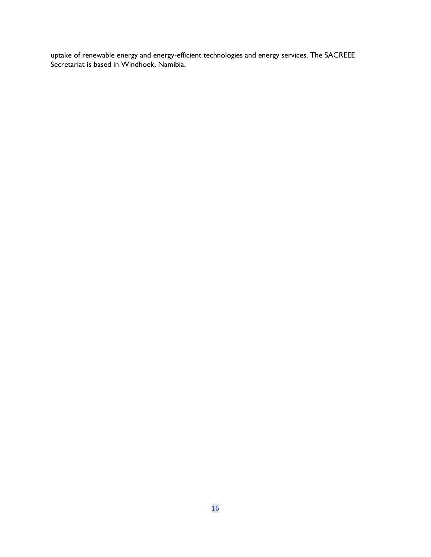uptake of renewable energy and energy-efficient technologies and energy services. The SACREEE Secretariat is based in Windhoek, Namibia.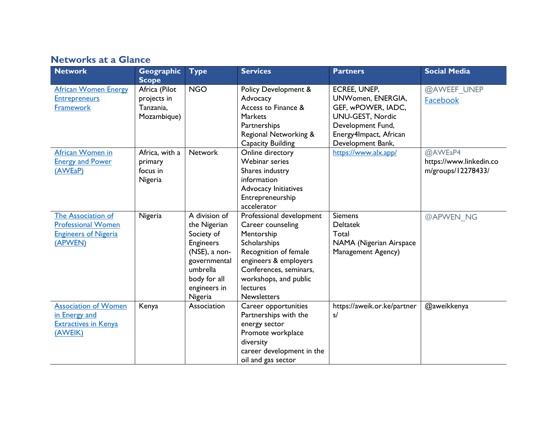# **Networks at a Glance**

| <b>Network</b>                                                                            | Geographic                                                               | <b>Type</b>                                                                                                                                             | <b>Services</b>                                                                                                                                                                                                    | <b>Partners</b>                                                                                                                                        | <b>Social Media</b>                                      |
|-------------------------------------------------------------------------------------------|--------------------------------------------------------------------------|---------------------------------------------------------------------------------------------------------------------------------------------------------|--------------------------------------------------------------------------------------------------------------------------------------------------------------------------------------------------------------------|--------------------------------------------------------------------------------------------------------------------------------------------------------|----------------------------------------------------------|
| <b>African Women Energy</b><br><b>Entrepreneurs</b><br>Framework                          | <b>Scope</b><br>Africa (Pilot<br>projects in<br>Tanzania,<br>Mozambique) | <b>NGO</b>                                                                                                                                              | <b>Policy Development &amp;</b><br>Advocacy<br>Access to Finance &<br><b>Markets</b><br>Partnerships<br>Regional Networking &<br><b>Capacity Building</b>                                                          | ECREE, UNEP,<br>UNWomen, ENERGIA,<br>GEF, wPOWER, IADC,<br><b>UNU-GEST, Nordic</b><br>Development Fund,<br>Energy4Impact, African<br>Development Bank, | @AWEEF UNEP<br>Facebook                                  |
| African Women in<br><b>Energy and Power</b><br>(AWEaP)                                    | Africa, with a<br>primary<br>focus in<br>Nigeria                         | <b>Network</b>                                                                                                                                          | Online directory<br>Webinar series<br>Shares industry<br>information<br><b>Advocacy Initiatives</b><br>Entrepreneurship<br>accelerator                                                                             | https://www.alx.app/                                                                                                                                   | @AWEaP4<br>https://www.linkedin.co<br>m/groups/12278433/ |
| The Association of<br><b>Professional Women</b><br><b>Engineers of Nigeria</b><br>(APWEN) | Nigeria                                                                  | A division of<br>the Nigerian<br>Society of<br><b>Engineers</b><br>(NSE), a non-<br>governmental<br>umbrella<br>body for all<br>engineers in<br>Nigeria | Professional development<br>Career counseling<br>Mentorship<br>Scholarships<br>Recognition of female<br>engineers & employers<br>Conferences, seminars,<br>workshops, and public<br>lectures<br><b>Newsletters</b> | <b>Siemens</b><br><b>Deltatek</b><br>Total<br>NAMA (Nigerian Airspace<br>Management Agency)                                                            | @APWEN NG                                                |
| <b>Association of Women</b><br>in Energy and<br><b>Extractives in Kenya</b><br>(AWEIK)    | Kenya                                                                    | Association                                                                                                                                             | Career opportunities<br>Partnerships with the<br>energy sector<br>Promote workplace<br>diversity<br>career development in the<br>oil and gas sector                                                                | https://aweik.or.ke/partner<br>s/                                                                                                                      | @aweikkenya                                              |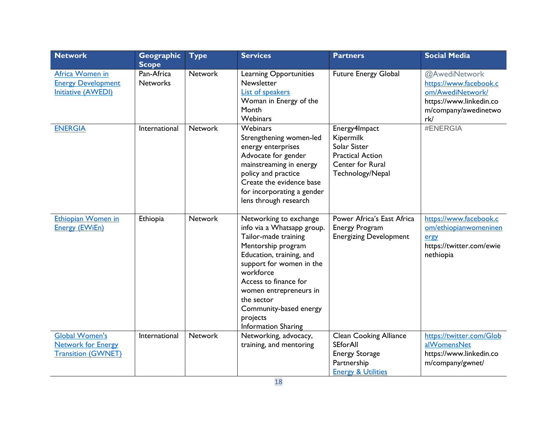| <b>Network</b>                                                                  | Geographic<br><b>Scope</b>    | <b>Type</b>    | <b>Services</b>                                                                                                                                                                                                                                                                                              | <b>Partners</b>                                                                                                           | <b>Social Media</b>                                                                                                   |
|---------------------------------------------------------------------------------|-------------------------------|----------------|--------------------------------------------------------------------------------------------------------------------------------------------------------------------------------------------------------------------------------------------------------------------------------------------------------------|---------------------------------------------------------------------------------------------------------------------------|-----------------------------------------------------------------------------------------------------------------------|
| Africa Women in<br><b>Energy Development</b><br><b>Initiative (AWEDI)</b>       | Pan-Africa<br><b>Networks</b> | <b>Network</b> | Learning Opportunities<br>Newsletter<br><b>List of speakers</b><br>Woman in Energy of the<br>Month<br>Webinars                                                                                                                                                                                               | <b>Future Energy Global</b>                                                                                               | @AwediNetwork<br>https://www.facebook.c<br>om/AwediNetwork/<br>https://www.linkedin.co<br>m/company/awedinetwo<br>rk/ |
| <b>ENERGIA</b>                                                                  | International                 | <b>Network</b> | Webinars<br>Strengthening women-led<br>energy enterprises<br>Advocate for gender<br>mainstreaming in energy<br>policy and practice<br>Create the evidence base<br>for incorporating a gender<br>lens through research                                                                                        | Energy4Impact<br>Kipermilk<br>Solar Sister<br><b>Practical Action</b><br>Center for Rural<br>Technology/Nepal             | #ENERGIA                                                                                                              |
| Ethiopian Women in<br><b>Energy (EWiEn)</b>                                     | Ethiopia                      | <b>Network</b> | Networking to exchange<br>info via a Whatsapp group.<br>Tailor-made training<br>Mentorship program<br>Education, training, and<br>support for women in the<br>workforce<br>Access to finance for<br>women entrepreneurs in<br>the sector<br>Community-based energy<br>projects<br><b>Information Sharing</b> | Power Africa's East Africa<br><b>Energy Program</b><br><b>Energizing Development</b>                                      | https://www.facebook.c<br>om/ethiopianwomeninen<br>ergy<br>https://twitter.com/ewie<br>nethiopia                      |
| <b>Global Women's</b><br><b>Network for Energy</b><br><b>Transition (GWNET)</b> | International                 | <b>Network</b> | Networking, advocacy,<br>training, and mentoring                                                                                                                                                                                                                                                             | <b>Clean Cooking Alliance</b><br><b>SEforAll</b><br><b>Energy Storage</b><br>Partnership<br><b>Energy &amp; Utilities</b> | https://twitter.com/Glob<br>alWomensNet<br>https://www.linkedin.co<br>m/company/gwnet/                                |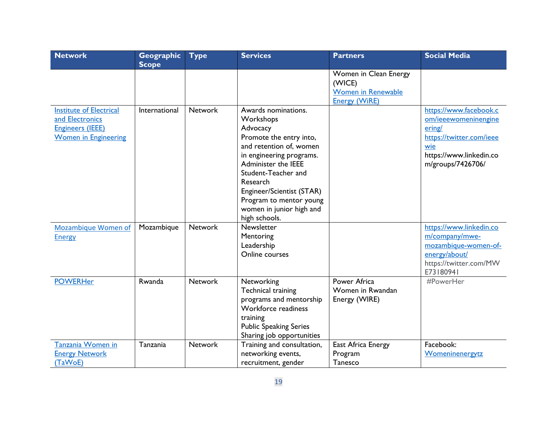| <b>Network</b>                                                                                              | Geographic<br><b>Scope</b> | <b>Type</b>    | <b>Services</b>                                                                                                                                                                                                                                                                               | <b>Partners</b>                                                                      | <b>Social Media</b>                                                                                                                         |
|-------------------------------------------------------------------------------------------------------------|----------------------------|----------------|-----------------------------------------------------------------------------------------------------------------------------------------------------------------------------------------------------------------------------------------------------------------------------------------------|--------------------------------------------------------------------------------------|---------------------------------------------------------------------------------------------------------------------------------------------|
|                                                                                                             |                            |                |                                                                                                                                                                                                                                                                                               | Women in Clean Energy<br>(WICE)<br><b>Women in Renewable</b><br><b>Energy (WiRE)</b> |                                                                                                                                             |
| <b>Institute of Electrical</b><br>and Electronics<br><b>Engineers (IEEE)</b><br><b>Women in Engineering</b> | International              | <b>Network</b> | Awards nominations.<br>Workshops<br>Advocacy<br>Promote the entry into,<br>and retention of, women<br>in engineering programs.<br>Administer the IEEE<br>Student-Teacher and<br>Research<br>Engineer/Scientist (STAR)<br>Program to mentor young<br>women in junior high and<br>high schools. |                                                                                      | https://www.facebook.c<br>om/ieeewomeninengine<br>ering/<br>https://twitter.com/ieee<br>wie<br>https://www.linkedin.co<br>m/groups/7426706/ |
| Mozambique Women of<br><b>Energy</b>                                                                        | Mozambique                 | <b>Network</b> | Newsletter<br>Mentoring<br>Leadership<br>Online courses                                                                                                                                                                                                                                       |                                                                                      | https://www.linkedin.co<br>m/company/mwe-<br>mozambique-women-of-<br>energy/about/<br>https://twitter.com/MW<br>E73180941                   |
| <b>POWERHer</b>                                                                                             | Rwanda                     | <b>Network</b> | Networking<br>Technical training<br>programs and mentorship<br>Workforce readiness<br>training<br><b>Public Speaking Series</b><br>Sharing job opportunities                                                                                                                                  | Power Africa<br>Women in Rwandan<br>Energy (WIRE)                                    | #PowerHer                                                                                                                                   |
| Tanzania Women in<br><b>Energy Network</b><br>(TaWoE)                                                       | Tanzania                   | <b>Network</b> | Training and consultation,<br>networking events,<br>recruitment, gender                                                                                                                                                                                                                       | East Africa Energy<br>Program<br>Tanesco                                             | Facebook:<br>Womeninenergytz                                                                                                                |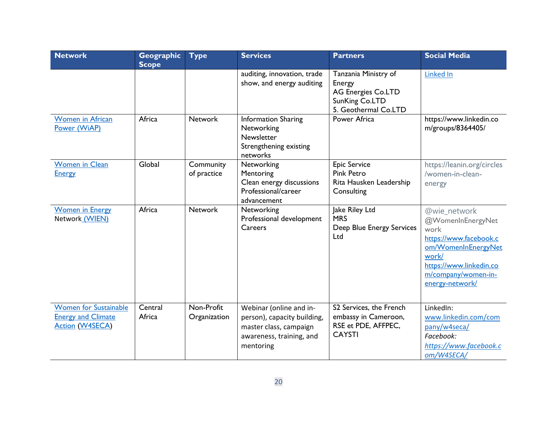| <b>Network</b>                                                                      | Geographic<br><b>Scope</b> | <b>Type</b>                | <b>Services</b>                                                                                                           | <b>Partners</b>                                                                                       | <b>Social Media</b>                                                                                                                                                      |
|-------------------------------------------------------------------------------------|----------------------------|----------------------------|---------------------------------------------------------------------------------------------------------------------------|-------------------------------------------------------------------------------------------------------|--------------------------------------------------------------------------------------------------------------------------------------------------------------------------|
|                                                                                     |                            |                            | auditing, innovation, trade<br>show, and energy auditing                                                                  | Tanzania Ministry of<br>Energy<br><b>AG Energies Co.LTD</b><br>SunKing Co.LTD<br>5. Geothermal Co.LTD | Linked In                                                                                                                                                                |
| <b>Women in African</b><br>Power (WiAP)                                             | Africa                     | <b>Network</b>             | <b>Information Sharing</b><br>Networking<br>Newsletter<br>Strengthening existing<br>networks                              | Power Africa                                                                                          | https://www.linkedin.co<br>m/groups/8364405/                                                                                                                             |
| <b>Women in Clean</b><br><b>Energy</b>                                              | Global                     | Community<br>of practice   | Networking<br>Mentoring<br>Clean energy discussions<br>Professional/career<br>advancement                                 | <b>Epic Service</b><br><b>Pink Petro</b><br>Rita Hausken Leadership<br>Consulting                     | https://leanin.org/circles<br>/women-in-clean-<br>energy                                                                                                                 |
| <b>Women in Energy</b><br>Network (WIEN)                                            | Africa                     | <b>Network</b>             | Networking<br>Professional development<br>Careers                                                                         | Jake Riley Ltd<br><b>MRS</b><br>Deep Blue Energy Services<br>Ltd                                      | @wie_network<br>@WomenInEnergyNet<br>work<br>https://www.facebook.c<br>om/WomenInEnergyNet<br>work/<br>https://www.linkedin.co<br>m/company/women-in-<br>energy-network/ |
| <b>Women for Sustainable</b><br><b>Energy and Climate</b><br><b>Action (W4SECA)</b> | Central<br>Africa          | Non-Profit<br>Organization | Webinar (online and in-<br>person), capacity building,<br>master class, campaign<br>awareness, training, and<br>mentoring | S2 Services, the French<br>embassy in Cameroon,<br>RSE et PDE, AFFPEC,<br><b>CAYSTI</b>               | LinkedIn:<br>www.linkedin.com/com<br>pany/w4seca/<br>Facebook:<br>https://www.facebook.c<br>om/W4SECA/                                                                   |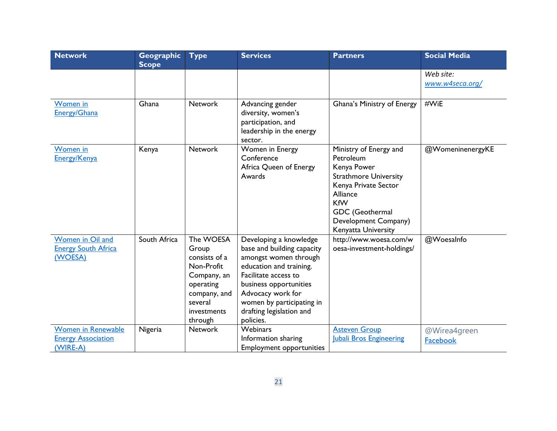| <b>Network</b>                                                     | Geographic<br><b>Scope</b> | <b>Type</b>                                                                                                                        | <b>Services</b>                                                                                                                                                                                                                                       | <b>Partners</b>                                                                                                                                                                                        | <b>Social Media</b>          |
|--------------------------------------------------------------------|----------------------------|------------------------------------------------------------------------------------------------------------------------------------|-------------------------------------------------------------------------------------------------------------------------------------------------------------------------------------------------------------------------------------------------------|--------------------------------------------------------------------------------------------------------------------------------------------------------------------------------------------------------|------------------------------|
|                                                                    |                            |                                                                                                                                    |                                                                                                                                                                                                                                                       |                                                                                                                                                                                                        | Web site:<br>www.w4seca.org/ |
| Women in<br><b>Energy/Ghana</b>                                    | Ghana                      | <b>Network</b>                                                                                                                     | Advancing gender<br>diversity, women's<br>participation, and<br>leadership in the energy<br>sector.                                                                                                                                                   | Ghana's Ministry of Energy                                                                                                                                                                             | #WiE                         |
| Women in<br>Energy/Kenya                                           | Kenya                      | <b>Network</b>                                                                                                                     | Women in Energy<br>Conference<br>Africa Queen of Energy<br>Awards                                                                                                                                                                                     | Ministry of Energy and<br>Petroleum<br>Kenya Power<br><b>Strathmore University</b><br>Kenya Private Sector<br>Alliance<br><b>KfW</b><br>GDC (Geothermal<br>Development Company)<br>Kenyatta University | @WomeninenergyKE             |
| Women in Oil and<br><b>Energy South Africa</b><br>(WOESA)          | South Africa               | The WOESA<br>Group<br>consists of a<br>Non-Profit<br>Company, an<br>operating<br>company, and<br>several<br>investments<br>through | Developing a knowledge<br>base and building capacity<br>amongst women through<br>education and training.<br>Facilitate access to<br>business opportunities<br>Advocacy work for<br>women by participating in<br>drafting legislation and<br>policies. | http://www.woesa.com/w<br>oesa-investment-holdings/                                                                                                                                                    | @WoesaInfo                   |
| <b>Women in Renewable</b><br><b>Energy Association</b><br>(WIRE-A) | Nigeria                    | <b>Network</b>                                                                                                                     | <b>Webinars</b><br>Information sharing<br><b>Employment opportunities</b>                                                                                                                                                                             | <b>Asteven Group</b><br>Jubali Bros Engineering                                                                                                                                                        | @Wirea4green<br>Facebook     |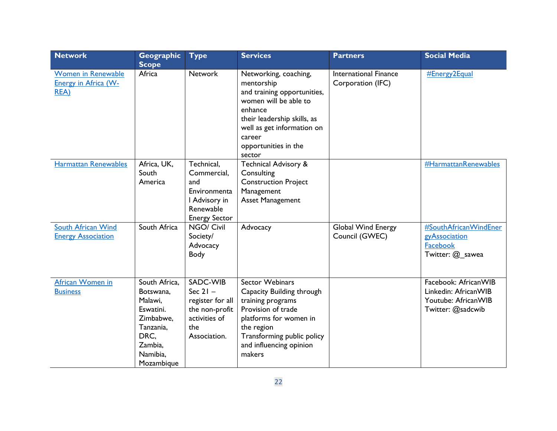| <b>Network</b>                                                          | Geographic<br><b>Scope</b>                                                                                                | <b>Type</b>                                                                                            | <b>Services</b>                                                                                                                                                                                                 | <b>Partners</b>                                   | <b>Social Media</b>                                                                      |
|-------------------------------------------------------------------------|---------------------------------------------------------------------------------------------------------------------------|--------------------------------------------------------------------------------------------------------|-----------------------------------------------------------------------------------------------------------------------------------------------------------------------------------------------------------------|---------------------------------------------------|------------------------------------------------------------------------------------------|
| <b>Women in Renewable</b><br><b>Energy in Africa (W-</b><br><b>REA)</b> | Africa                                                                                                                    | <b>Network</b>                                                                                         | Networking, coaching,<br>mentorship<br>and training opportunities,<br>women will be able to<br>enhance<br>their leadership skills, as<br>well as get information on<br>career<br>opportunities in the<br>sector | <b>International Finance</b><br>Corporation (IFC) | <b>#Energy2Equal</b>                                                                     |
| <b>Harmattan Renewables</b>                                             | Africa, UK,<br>South<br>America                                                                                           | Technical,<br>Commercial,<br>and<br>Environmenta<br>I Advisory in<br>Renewable<br><b>Energy Sector</b> | <b>Technical Advisory &amp;</b><br>Consulting<br><b>Construction Project</b><br>Management<br><b>Asset Management</b>                                                                                           |                                                   | #HarmattanRenewables                                                                     |
| South African Wind<br><b>Energy Association</b>                         | South Africa                                                                                                              | NGO/ Civil<br>Society/<br>Advocacy<br>Body                                                             | Advocacy                                                                                                                                                                                                        | Global Wind Energy<br>Council (GWEC)              | #SouthAfricanWindEner<br>gyAssociation<br>Facebook<br>Twitter: @_sawea                   |
| African Women in<br><b>Business</b>                                     | South Africa,<br>Botswana,<br>Malawi,<br>Eswatini.<br>Zimbabwe,<br>Tanzania,<br>DRC,<br>Zambia,<br>Namibia,<br>Mozambique | SADC-WIB<br>Sec $21 -$<br>register for all<br>the non-profit<br>activities of<br>the<br>Association.   | <b>Sector Webinars</b><br>Capacity Building through<br>training programs<br>Provision of trade<br>platforms for women in<br>the region<br>Transforming public policy<br>and influencing opinion<br>makers       |                                                   | Facebook: AfricanWIB<br>Linkedin: AfricanWIB<br>Youtube: AfricanWIB<br>Twitter: @sadcwib |